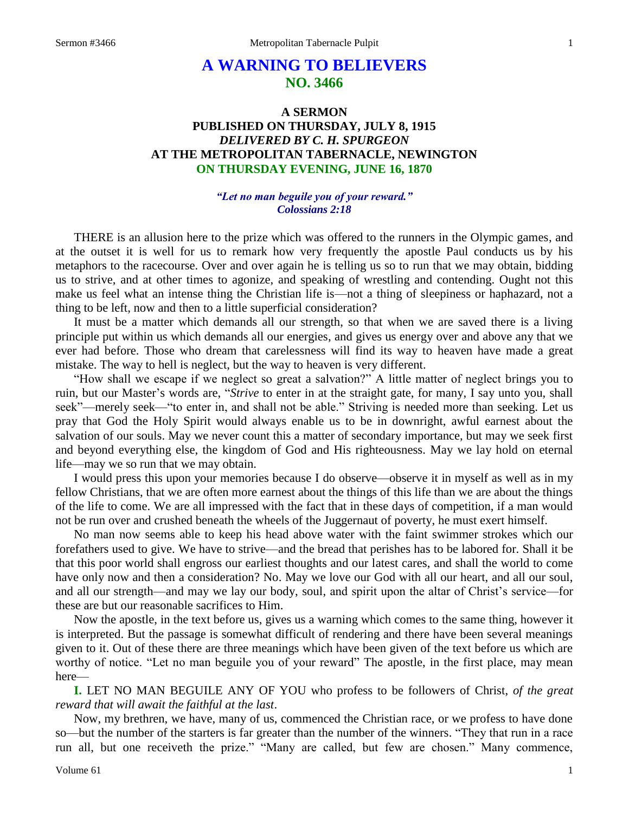# **A WARNING TO BELIEVERS NO. 3466**

# **A SERMON PUBLISHED ON THURSDAY, JULY 8, 1915** *DELIVERED BY C. H. SPURGEON* **AT THE METROPOLITAN TABERNACLE, NEWINGTON ON THURSDAY EVENING, JUNE 16, 1870**

#### *"Let no man beguile you of your reward." Colossians 2:18*

THERE is an allusion here to the prize which was offered to the runners in the Olympic games, and at the outset it is well for us to remark how very frequently the apostle Paul conducts us by his metaphors to the racecourse. Over and over again he is telling us so to run that we may obtain, bidding us to strive, and at other times to agonize, and speaking of wrestling and contending. Ought not this make us feel what an intense thing the Christian life is—not a thing of sleepiness or haphazard, not a thing to be left, now and then to a little superficial consideration?

It must be a matter which demands all our strength, so that when we are saved there is a living principle put within us which demands all our energies, and gives us energy over and above any that we ever had before. Those who dream that carelessness will find its way to heaven have made a great mistake. The way to hell is neglect, but the way to heaven is very different.

"How shall we escape if we neglect so great a salvation?" A little matter of neglect brings you to ruin, but our Master's words are, "*Strive* to enter in at the straight gate, for many, I say unto you, shall seek"—merely seek—"to enter in, and shall not be able." Striving is needed more than seeking. Let us pray that God the Holy Spirit would always enable us to be in downright, awful earnest about the salvation of our souls. May we never count this a matter of secondary importance, but may we seek first and beyond everything else, the kingdom of God and His righteousness. May we lay hold on eternal life—may we so run that we may obtain.

I would press this upon your memories because I do observe—observe it in myself as well as in my fellow Christians, that we are often more earnest about the things of this life than we are about the things of the life to come. We are all impressed with the fact that in these days of competition, if a man would not be run over and crushed beneath the wheels of the Juggernaut of poverty, he must exert himself.

No man now seems able to keep his head above water with the faint swimmer strokes which our forefathers used to give. We have to strive—and the bread that perishes has to be labored for. Shall it be that this poor world shall engross our earliest thoughts and our latest cares, and shall the world to come have only now and then a consideration? No. May we love our God with all our heart, and all our soul, and all our strength—and may we lay our body, soul, and spirit upon the altar of Christ's service—for these are but our reasonable sacrifices to Him.

Now the apostle, in the text before us, gives us a warning which comes to the same thing, however it is interpreted. But the passage is somewhat difficult of rendering and there have been several meanings given to it. Out of these there are three meanings which have been given of the text before us which are worthy of notice. "Let no man beguile you of your reward" The apostle, in the first place, may mean here—

**I.** LET NO MAN BEGUILE ANY OF YOU who profess to be followers of Christ, *of the great reward that will await the faithful at the last*.

Now, my brethren, we have, many of us, commenced the Christian race, or we profess to have done so—but the number of the starters is far greater than the number of the winners. "They that run in a race run all, but one receiveth the prize." "Many are called, but few are chosen." Many commence,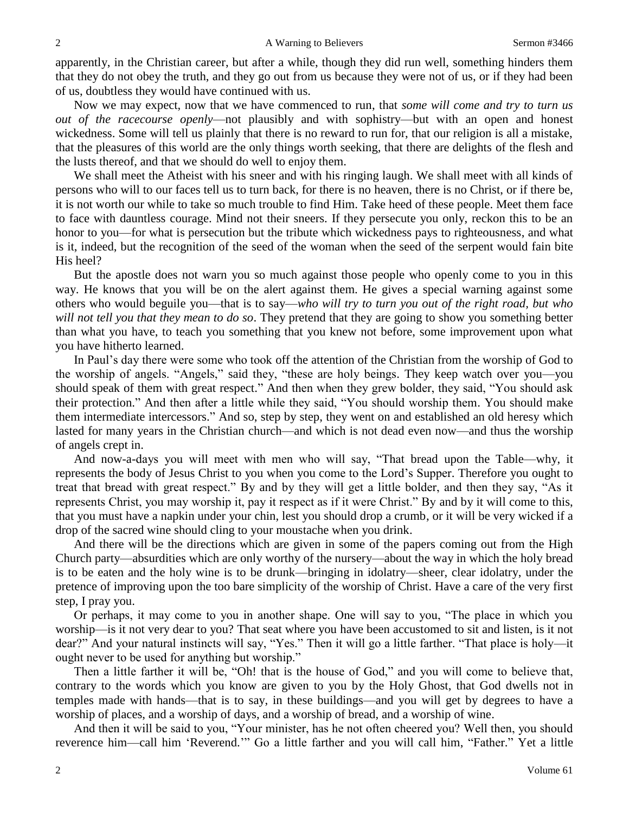apparently, in the Christian career, but after a while, though they did run well, something hinders them that they do not obey the truth, and they go out from us because they were not of us, or if they had been of us, doubtless they would have continued with us.

Now we may expect, now that we have commenced to run, that *some will come and try to turn us out of the racecourse openly*—not plausibly and with sophistry—but with an open and honest wickedness. Some will tell us plainly that there is no reward to run for, that our religion is all a mistake, that the pleasures of this world are the only things worth seeking, that there are delights of the flesh and the lusts thereof, and that we should do well to enjoy them.

We shall meet the Atheist with his sneer and with his ringing laugh. We shall meet with all kinds of persons who will to our faces tell us to turn back, for there is no heaven, there is no Christ, or if there be, it is not worth our while to take so much trouble to find Him. Take heed of these people. Meet them face to face with dauntless courage. Mind not their sneers. If they persecute you only, reckon this to be an honor to you—for what is persecution but the tribute which wickedness pays to righteousness, and what is it, indeed, but the recognition of the seed of the woman when the seed of the serpent would fain bite His heel?

But the apostle does not warn you so much against those people who openly come to you in this way. He knows that you will be on the alert against them. He gives a special warning against some others who would beguile you—that is to say—*who will try to turn you out of the right road, but who will not tell you that they mean to do so*. They pretend that they are going to show you something better than what you have, to teach you something that you knew not before, some improvement upon what you have hitherto learned.

In Paul's day there were some who took off the attention of the Christian from the worship of God to the worship of angels. "Angels," said they, "these are holy beings. They keep watch over you—you should speak of them with great respect." And then when they grew bolder, they said, "You should ask their protection." And then after a little while they said, "You should worship them. You should make them intermediate intercessors." And so, step by step, they went on and established an old heresy which lasted for many years in the Christian church—and which is not dead even now—and thus the worship of angels crept in.

And now-a-days you will meet with men who will say, "That bread upon the Table—why, it represents the body of Jesus Christ to you when you come to the Lord's Supper. Therefore you ought to treat that bread with great respect." By and by they will get a little bolder, and then they say, "As it represents Christ, you may worship it, pay it respect as if it were Christ." By and by it will come to this, that you must have a napkin under your chin, lest you should drop a crumb, or it will be very wicked if a drop of the sacred wine should cling to your moustache when you drink.

And there will be the directions which are given in some of the papers coming out from the High Church party—absurdities which are only worthy of the nursery—about the way in which the holy bread is to be eaten and the holy wine is to be drunk—bringing in idolatry—sheer, clear idolatry, under the pretence of improving upon the too bare simplicity of the worship of Christ. Have a care of the very first step, I pray you.

Or perhaps, it may come to you in another shape. One will say to you, "The place in which you worship—is it not very dear to you? That seat where you have been accustomed to sit and listen, is it not dear?" And your natural instincts will say, "Yes." Then it will go a little farther. "That place is holy—it ought never to be used for anything but worship."

Then a little farther it will be, "Oh! that is the house of God," and you will come to believe that, contrary to the words which you know are given to you by the Holy Ghost, that God dwells not in temples made with hands—that is to say, in these buildings—and you will get by degrees to have a worship of places, and a worship of days, and a worship of bread, and a worship of wine.

And then it will be said to you, "Your minister, has he not often cheered you? Well then, you should reverence him—call him 'Reverend.'" Go a little farther and you will call him, "Father." Yet a little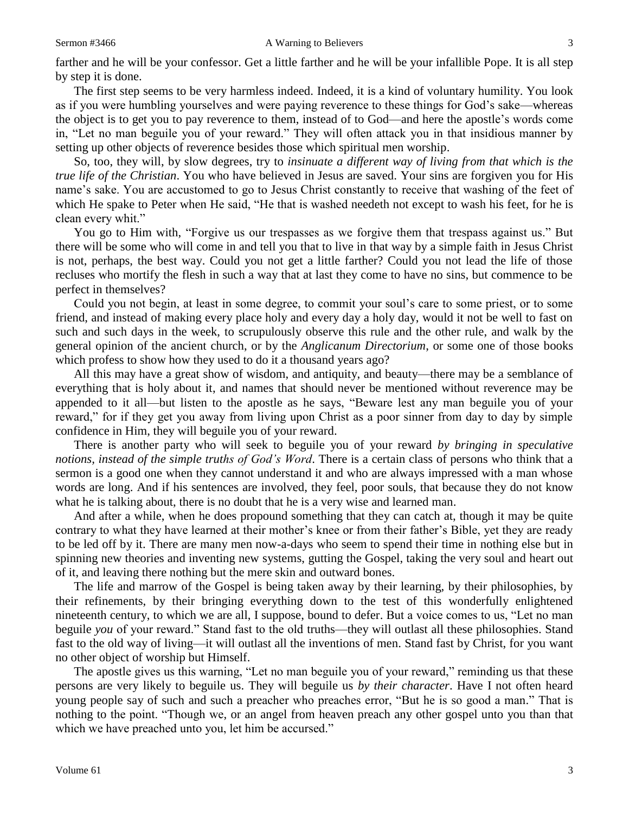farther and he will be your confessor. Get a little farther and he will be your infallible Pope. It is all step by step it is done.

The first step seems to be very harmless indeed. Indeed, it is a kind of voluntary humility. You look as if you were humbling yourselves and were paying reverence to these things for God's sake—whereas the object is to get you to pay reverence to them, instead of to God—and here the apostle's words come in, "Let no man beguile you of your reward." They will often attack you in that insidious manner by setting up other objects of reverence besides those which spiritual men worship.

So, too, they will, by slow degrees, try to *insinuate a different way of living from that which is the true life of the Christian*. You who have believed in Jesus are saved. Your sins are forgiven you for His name's sake. You are accustomed to go to Jesus Christ constantly to receive that washing of the feet of which He spake to Peter when He said, "He that is washed needeth not except to wash his feet, for he is clean every whit."

You go to Him with, "Forgive us our trespasses as we forgive them that trespass against us." But there will be some who will come in and tell you that to live in that way by a simple faith in Jesus Christ is not, perhaps, the best way. Could you not get a little farther? Could you not lead the life of those recluses who mortify the flesh in such a way that at last they come to have no sins, but commence to be perfect in themselves?

Could you not begin, at least in some degree, to commit your soul's care to some priest, or to some friend, and instead of making every place holy and every day a holy day, would it not be well to fast on such and such days in the week, to scrupulously observe this rule and the other rule, and walk by the general opinion of the ancient church, or by the *Anglicanum Directorium*, or some one of those books which profess to show how they used to do it a thousand years ago?

All this may have a great show of wisdom, and antiquity, and beauty—there may be a semblance of everything that is holy about it, and names that should never be mentioned without reverence may be appended to it all—but listen to the apostle as he says, "Beware lest any man beguile you of your reward," for if they get you away from living upon Christ as a poor sinner from day to day by simple confidence in Him, they will beguile you of your reward.

There is another party who will seek to beguile you of your reward *by bringing in speculative notions, instead of the simple truths of God's Word*. There is a certain class of persons who think that a sermon is a good one when they cannot understand it and who are always impressed with a man whose words are long. And if his sentences are involved, they feel, poor souls, that because they do not know what he is talking about, there is no doubt that he is a very wise and learned man.

And after a while, when he does propound something that they can catch at, though it may be quite contrary to what they have learned at their mother's knee or from their father's Bible, yet they are ready to be led off by it. There are many men now-a-days who seem to spend their time in nothing else but in spinning new theories and inventing new systems, gutting the Gospel, taking the very soul and heart out of it, and leaving there nothing but the mere skin and outward bones.

The life and marrow of the Gospel is being taken away by their learning, by their philosophies, by their refinements, by their bringing everything down to the test of this wonderfully enlightened nineteenth century, to which we are all, I suppose, bound to defer. But a voice comes to us, "Let no man beguile *you* of your reward." Stand fast to the old truths—they will outlast all these philosophies. Stand fast to the old way of living—it will outlast all the inventions of men. Stand fast by Christ, for you want no other object of worship but Himself.

The apostle gives us this warning, "Let no man beguile you of your reward," reminding us that these persons are very likely to beguile us. They will beguile us *by their character*. Have I not often heard young people say of such and such a preacher who preaches error, "But he is so good a man." That is nothing to the point. "Though we, or an angel from heaven preach any other gospel unto you than that which we have preached unto you, let him be accursed."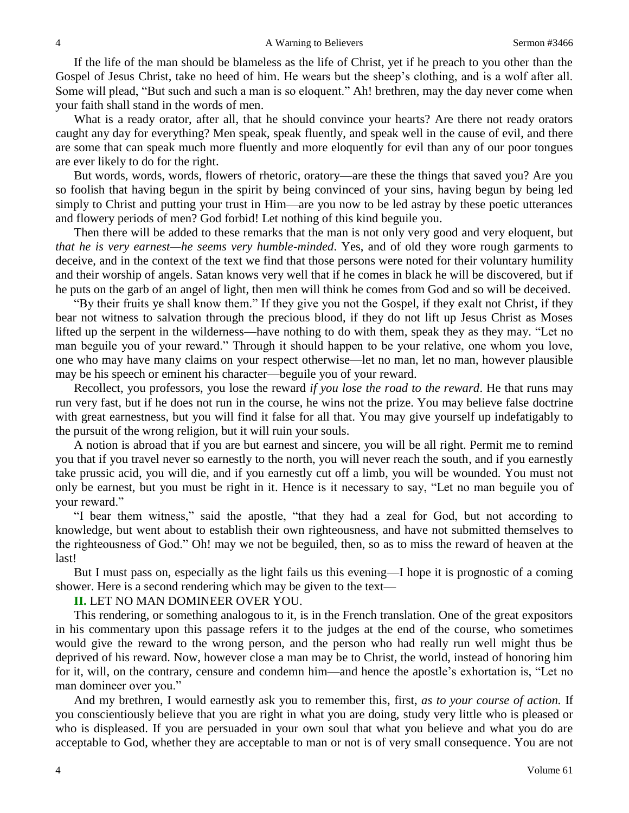If the life of the man should be blameless as the life of Christ, yet if he preach to you other than the Gospel of Jesus Christ, take no heed of him. He wears but the sheep's clothing, and is a wolf after all. Some will plead, "But such and such a man is so eloquent." Ah! brethren, may the day never come when your faith shall stand in the words of men.

What is a ready orator, after all, that he should convince your hearts? Are there not ready orators caught any day for everything? Men speak, speak fluently, and speak well in the cause of evil, and there are some that can speak much more fluently and more eloquently for evil than any of our poor tongues are ever likely to do for the right.

But words, words, words, flowers of rhetoric, oratory—are these the things that saved you? Are you so foolish that having begun in the spirit by being convinced of your sins, having begun by being led simply to Christ and putting your trust in Him—are you now to be led astray by these poetic utterances and flowery periods of men? God forbid! Let nothing of this kind beguile you.

Then there will be added to these remarks that the man is not only very good and very eloquent, but *that he is very earnest—he seems very humble-minded*. Yes, and of old they wore rough garments to deceive, and in the context of the text we find that those persons were noted for their voluntary humility and their worship of angels. Satan knows very well that if he comes in black he will be discovered, but if he puts on the garb of an angel of light, then men will think he comes from God and so will be deceived.

"By their fruits ye shall know them." If they give you not the Gospel, if they exalt not Christ, if they bear not witness to salvation through the precious blood, if they do not lift up Jesus Christ as Moses lifted up the serpent in the wilderness—have nothing to do with them, speak they as they may. "Let no man beguile you of your reward." Through it should happen to be your relative, one whom you love, one who may have many claims on your respect otherwise—let no man, let no man, however plausible may be his speech or eminent his character—beguile you of your reward.

Recollect, you professors, you lose the reward *if you lose the road to the reward*. He that runs may run very fast, but if he does not run in the course, he wins not the prize. You may believe false doctrine with great earnestness, but you will find it false for all that. You may give yourself up indefatigably to the pursuit of the wrong religion, but it will ruin your souls.

A notion is abroad that if you are but earnest and sincere, you will be all right. Permit me to remind you that if you travel never so earnestly to the north, you will never reach the south, and if you earnestly take prussic acid, you will die, and if you earnestly cut off a limb, you will be wounded. You must not only be earnest, but you must be right in it. Hence is it necessary to say, "Let no man beguile you of your reward."

"I bear them witness," said the apostle, "that they had a zeal for God, but not according to knowledge, but went about to establish their own righteousness, and have not submitted themselves to the righteousness of God." Oh! may we not be beguiled, then, so as to miss the reward of heaven at the last!

But I must pass on, especially as the light fails us this evening—I hope it is prognostic of a coming shower. Here is a second rendering which may be given to the text—

#### **II.** LET NO MAN DOMINEER OVER YOU.

This rendering, or something analogous to it, is in the French translation. One of the great expositors in his commentary upon this passage refers it to the judges at the end of the course, who sometimes would give the reward to the wrong person, and the person who had really run well might thus be deprived of his reward. Now, however close a man may be to Christ, the world, instead of honoring him for it, will, on the contrary, censure and condemn him—and hence the apostle's exhortation is, "Let no man domineer over you."

And my brethren, I would earnestly ask you to remember this, first, *as to your course of action.* If you conscientiously believe that you are right in what you are doing, study very little who is pleased or who is displeased. If you are persuaded in your own soul that what you believe and what you do are acceptable to God, whether they are acceptable to man or not is of very small consequence. You are not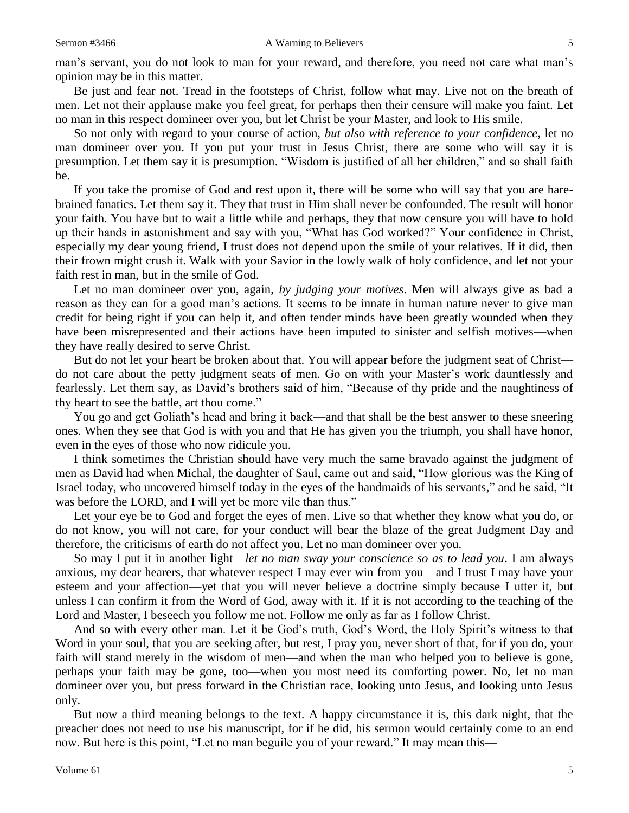man's servant, you do not look to man for your reward, and therefore, you need not care what man's opinion may be in this matter.

Be just and fear not. Tread in the footsteps of Christ, follow what may. Live not on the breath of men. Let not their applause make you feel great, for perhaps then their censure will make you faint. Let no man in this respect domineer over you, but let Christ be your Master, and look to His smile.

So not only with regard to your course of action, *but also with reference to your confidence*, let no man domineer over you. If you put your trust in Jesus Christ, there are some who will say it is presumption. Let them say it is presumption. "Wisdom is justified of all her children," and so shall faith be.

If you take the promise of God and rest upon it, there will be some who will say that you are harebrained fanatics. Let them say it. They that trust in Him shall never be confounded. The result will honor your faith. You have but to wait a little while and perhaps, they that now censure you will have to hold up their hands in astonishment and say with you, "What has God worked?" Your confidence in Christ, especially my dear young friend, I trust does not depend upon the smile of your relatives. If it did, then their frown might crush it. Walk with your Savior in the lowly walk of holy confidence, and let not your faith rest in man, but in the smile of God.

Let no man domineer over you, again, *by judging your motives*. Men will always give as bad a reason as they can for a good man's actions. It seems to be innate in human nature never to give man credit for being right if you can help it, and often tender minds have been greatly wounded when they have been misrepresented and their actions have been imputed to sinister and selfish motives—when they have really desired to serve Christ.

But do not let your heart be broken about that. You will appear before the judgment seat of Christ do not care about the petty judgment seats of men. Go on with your Master's work dauntlessly and fearlessly. Let them say, as David's brothers said of him, "Because of thy pride and the naughtiness of thy heart to see the battle, art thou come."

You go and get Goliath's head and bring it back—and that shall be the best answer to these sneering ones. When they see that God is with you and that He has given you the triumph, you shall have honor, even in the eyes of those who now ridicule you.

I think sometimes the Christian should have very much the same bravado against the judgment of men as David had when Michal, the daughter of Saul, came out and said, "How glorious was the King of Israel today, who uncovered himself today in the eyes of the handmaids of his servants," and he said, "It was before the LORD, and I will yet be more vile than thus."

Let your eye be to God and forget the eyes of men. Live so that whether they know what you do, or do not know, you will not care, for your conduct will bear the blaze of the great Judgment Day and therefore, the criticisms of earth do not affect you. Let no man domineer over you.

So may I put it in another light—*let no man sway your conscience so as to lead you*. I am always anxious, my dear hearers, that whatever respect I may ever win from you—and I trust I may have your esteem and your affection—yet that you will never believe a doctrine simply because I utter it, but unless I can confirm it from the Word of God, away with it. If it is not according to the teaching of the Lord and Master, I beseech you follow me not. Follow me only as far as I follow Christ.

And so with every other man. Let it be God's truth, God's Word, the Holy Spirit's witness to that Word in your soul, that you are seeking after, but rest, I pray you, never short of that, for if you do, your faith will stand merely in the wisdom of men—and when the man who helped you to believe is gone, perhaps your faith may be gone, too—when you most need its comforting power. No, let no man domineer over you, but press forward in the Christian race, looking unto Jesus, and looking unto Jesus only.

But now a third meaning belongs to the text. A happy circumstance it is, this dark night, that the preacher does not need to use his manuscript, for if he did, his sermon would certainly come to an end now. But here is this point, "Let no man beguile you of your reward." It may mean this—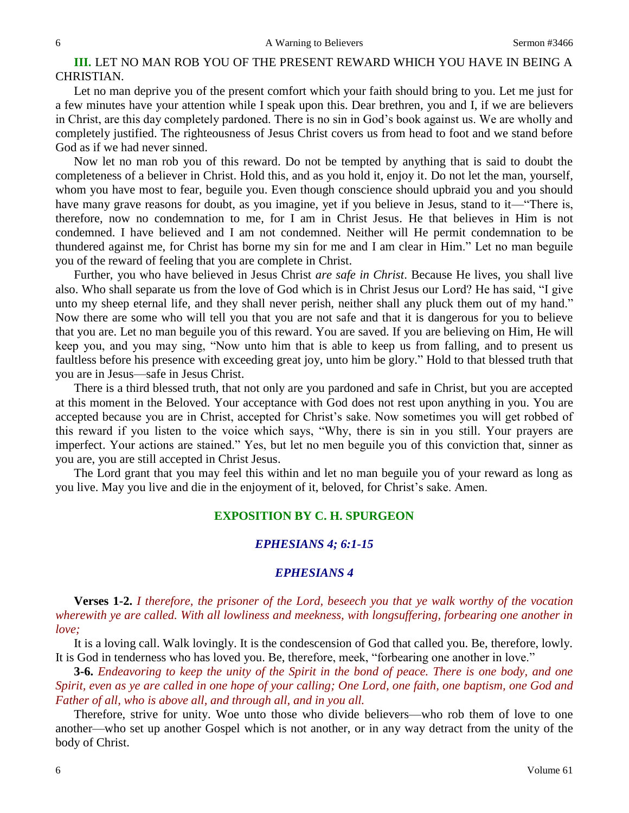# **III.** LET NO MAN ROB YOU OF THE PRESENT REWARD WHICH YOU HAVE IN BEING A CHRISTIAN.

Let no man deprive you of the present comfort which your faith should bring to you. Let me just for a few minutes have your attention while I speak upon this. Dear brethren, you and I, if we are believers in Christ, are this day completely pardoned. There is no sin in God's book against us. We are wholly and completely justified. The righteousness of Jesus Christ covers us from head to foot and we stand before God as if we had never sinned.

Now let no man rob you of this reward. Do not be tempted by anything that is said to doubt the completeness of a believer in Christ. Hold this, and as you hold it, enjoy it. Do not let the man, yourself, whom you have most to fear, beguile you. Even though conscience should upbraid you and you should have many grave reasons for doubt, as you imagine, yet if you believe in Jesus, stand to it—"There is, therefore, now no condemnation to me, for I am in Christ Jesus. He that believes in Him is not condemned. I have believed and I am not condemned. Neither will He permit condemnation to be thundered against me, for Christ has borne my sin for me and I am clear in Him." Let no man beguile you of the reward of feeling that you are complete in Christ.

Further, you who have believed in Jesus Christ *are safe in Christ*. Because He lives, you shall live also. Who shall separate us from the love of God which is in Christ Jesus our Lord? He has said, "I give unto my sheep eternal life, and they shall never perish, neither shall any pluck them out of my hand." Now there are some who will tell you that you are not safe and that it is dangerous for you to believe that you are. Let no man beguile you of this reward. You are saved. If you are believing on Him, He will keep you, and you may sing, "Now unto him that is able to keep us from falling, and to present us faultless before his presence with exceeding great joy, unto him be glory." Hold to that blessed truth that you are in Jesus—safe in Jesus Christ.

There is a third blessed truth, that not only are you pardoned and safe in Christ, but you are accepted at this moment in the Beloved. Your acceptance with God does not rest upon anything in you. You are accepted because you are in Christ, accepted for Christ's sake. Now sometimes you will get robbed of this reward if you listen to the voice which says, "Why, there is sin in you still. Your prayers are imperfect. Your actions are stained." Yes, but let no men beguile you of this conviction that, sinner as you are, you are still accepted in Christ Jesus.

The Lord grant that you may feel this within and let no man beguile you of your reward as long as you live. May you live and die in the enjoyment of it, beloved, for Christ's sake. Amen.

# **EXPOSITION BY C. H. SPURGEON**

### *EPHESIANS 4; 6:1-15*

### *EPHESIANS 4*

**Verses 1-2.** *I therefore, the prisoner of the Lord, beseech you that ye walk worthy of the vocation wherewith ye are called. With all lowliness and meekness, with longsuffering, forbearing one another in love;*

It is a loving call. Walk lovingly. It is the condescension of God that called you. Be, therefore, lowly. It is God in tenderness who has loved you. Be, therefore, meek, "forbearing one another in love."

**3-6.** *Endeavoring to keep the unity of the Spirit in the bond of peace. There is one body, and one Spirit, even as ye are called in one hope of your calling; One Lord, one faith, one baptism, one God and Father of all, who is above all, and through all, and in you all.* 

Therefore, strive for unity. Woe unto those who divide believers—who rob them of love to one another—who set up another Gospel which is not another, or in any way detract from the unity of the body of Christ.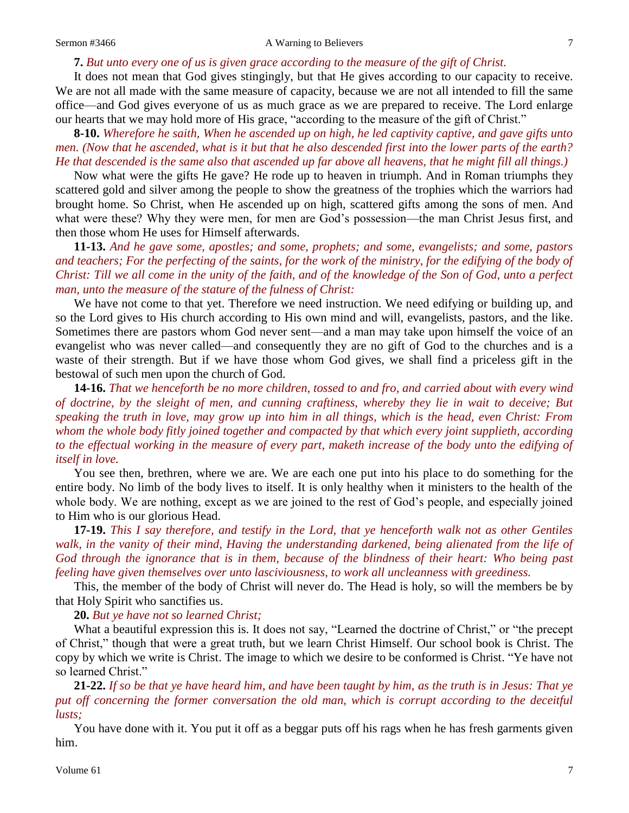#### **7.** *But unto every one of us is given grace according to the measure of the gift of Christ.*

It does not mean that God gives stingingly, but that He gives according to our capacity to receive. We are not all made with the same measure of capacity, because we are not all intended to fill the same office—and God gives everyone of us as much grace as we are prepared to receive. The Lord enlarge our hearts that we may hold more of His grace, "according to the measure of the gift of Christ."

**8-10.** *Wherefore he saith, When he ascended up on high, he led captivity captive, and gave gifts unto men. (Now that he ascended, what is it but that he also descended first into the lower parts of the earth? He that descended is the same also that ascended up far above all heavens, that he might fill all things.)*

Now what were the gifts He gave? He rode up to heaven in triumph. And in Roman triumphs they scattered gold and silver among the people to show the greatness of the trophies which the warriors had brought home. So Christ, when He ascended up on high, scattered gifts among the sons of men. And what were these? Why they were men, for men are God's possession—the man Christ Jesus first, and then those whom He uses for Himself afterwards.

**11-13.** *And he gave some, apostles; and some, prophets; and some, evangelists; and some, pastors*  and teachers; For the perfecting of the saints, for the work of the ministry, for the edifying of the body of *Christ: Till we all come in the unity of the faith, and of the knowledge of the Son of God, unto a perfect man, unto the measure of the stature of the fulness of Christ:*

We have not come to that yet. Therefore we need instruction. We need edifying or building up, and so the Lord gives to His church according to His own mind and will, evangelists, pastors, and the like. Sometimes there are pastors whom God never sent—and a man may take upon himself the voice of an evangelist who was never called—and consequently they are no gift of God to the churches and is a waste of their strength. But if we have those whom God gives, we shall find a priceless gift in the bestowal of such men upon the church of God.

**14-16.** *That we henceforth be no more children, tossed to and fro, and carried about with every wind of doctrine, by the sleight of men, and cunning craftiness, whereby they lie in wait to deceive; But speaking the truth in love, may grow up into him in all things, which is the head, even Christ: From whom the whole body fitly joined together and compacted by that which every joint supplieth, according to the effectual working in the measure of every part, maketh increase of the body unto the edifying of itself in love.*

You see then, brethren, where we are. We are each one put into his place to do something for the entire body. No limb of the body lives to itself. It is only healthy when it ministers to the health of the whole body. We are nothing, except as we are joined to the rest of God's people, and especially joined to Him who is our glorious Head.

**17-19.** *This I say therefore, and testify in the Lord, that ye henceforth walk not as other Gentiles walk, in the vanity of their mind, Having the understanding darkened, being alienated from the life of God through the ignorance that is in them, because of the blindness of their heart: Who being past feeling have given themselves over unto lasciviousness, to work all uncleanness with greediness.*

This, the member of the body of Christ will never do. The Head is holy, so will the members be by that Holy Spirit who sanctifies us.

**20.** *But ye have not so learned Christ;*

What a beautiful expression this is. It does not say, "Learned the doctrine of Christ," or "the precept of Christ," though that were a great truth, but we learn Christ Himself. Our school book is Christ. The copy by which we write is Christ. The image to which we desire to be conformed is Christ. "Ye have not so learned Christ."

**21-22.** *If so be that ye have heard him, and have been taught by him, as the truth is in Jesus: That ye put off concerning the former conversation the old man, which is corrupt according to the deceitful lusts;*

You have done with it. You put it off as a beggar puts off his rags when he has fresh garments given him.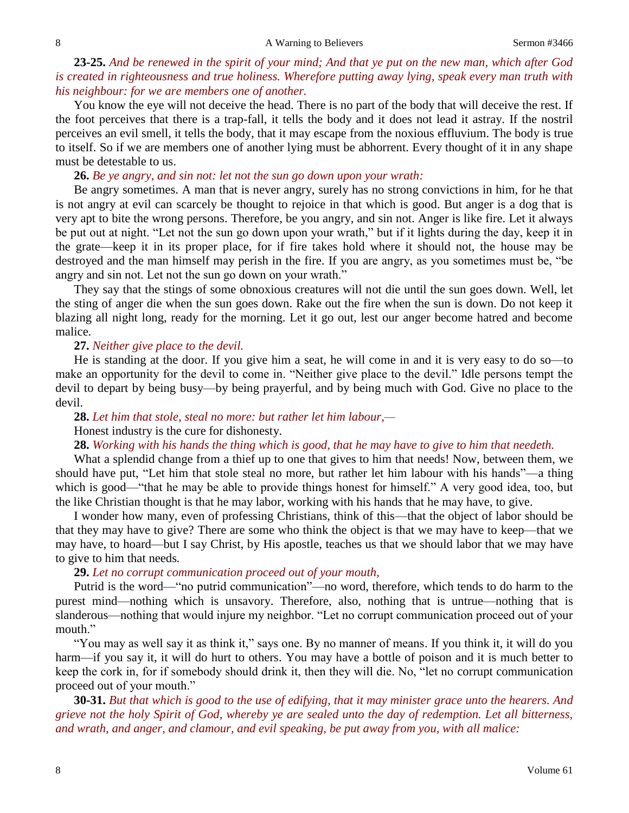# **23-25.** *And be renewed in the spirit of your mind; And that ye put on the new man, which after God is created in righteousness and true holiness. Wherefore putting away lying, speak every man truth with his neighbour: for we are members one of another.*

You know the eye will not deceive the head. There is no part of the body that will deceive the rest. If the foot perceives that there is a trap-fall, it tells the body and it does not lead it astray. If the nostril perceives an evil smell, it tells the body, that it may escape from the noxious effluvium. The body is true to itself. So if we are members one of another lying must be abhorrent. Every thought of it in any shape must be detestable to us.

**26.** *Be ye angry, and sin not: let not the sun go down upon your wrath:*

Be angry sometimes. A man that is never angry, surely has no strong convictions in him, for he that is not angry at evil can scarcely be thought to rejoice in that which is good. But anger is a dog that is very apt to bite the wrong persons. Therefore, be you angry, and sin not. Anger is like fire. Let it always be put out at night. "Let not the sun go down upon your wrath," but if it lights during the day, keep it in the grate—keep it in its proper place, for if fire takes hold where it should not, the house may be destroyed and the man himself may perish in the fire. If you are angry, as you sometimes must be, "be angry and sin not. Let not the sun go down on your wrath."

They say that the stings of some obnoxious creatures will not die until the sun goes down. Well, let the sting of anger die when the sun goes down. Rake out the fire when the sun is down. Do not keep it blazing all night long, ready for the morning. Let it go out, lest our anger become hatred and become malice.

#### **27.** *Neither give place to the devil.*

He is standing at the door. If you give him a seat, he will come in and it is very easy to do so—to make an opportunity for the devil to come in. "Neither give place to the devil." Idle persons tempt the devil to depart by being busy—by being prayerful, and by being much with God. Give no place to the devil.

**28.** *Let him that stole, steal no more: but rather let him labour,—*

#### Honest industry is the cure for dishonesty.

**28.** *Working with his hands the thing which is good, that he may have to give to him that needeth.* 

What a splendid change from a thief up to one that gives to him that needs! Now, between them, we should have put, "Let him that stole steal no more, but rather let him labour with his hands"—a thing which is good—"that he may be able to provide things honest for himself." A very good idea, too, but the like Christian thought is that he may labor, working with his hands that he may have, to give.

I wonder how many, even of professing Christians, think of this—that the object of labor should be that they may have to give? There are some who think the object is that we may have to keep—that we may have, to hoard—but I say Christ, by His apostle, teaches us that we should labor that we may have to give to him that needs*.*

### **29.** *Let no corrupt communication proceed out of your mouth,*

Putrid is the word—"no putrid communication"—no word, therefore, which tends to do harm to the purest mind—nothing which is unsavory. Therefore, also, nothing that is untrue—nothing that is slanderous—nothing that would injure my neighbor. "Let no corrupt communication proceed out of your mouth."

"You may as well say it as think it," says one. By no manner of means. If you think it, it will do you harm—if you say it, it will do hurt to others. You may have a bottle of poison and it is much better to keep the cork in, for if somebody should drink it, then they will die. No, "let no corrupt communication proceed out of your mouth."

**30-31.** *But that which is good to the use of edifying, that it may minister grace unto the hearers. And grieve not the holy Spirit of God, whereby ye are sealed unto the day of redemption. Let all bitterness, and wrath, and anger, and clamour, and evil speaking, be put away from you, with all malice:*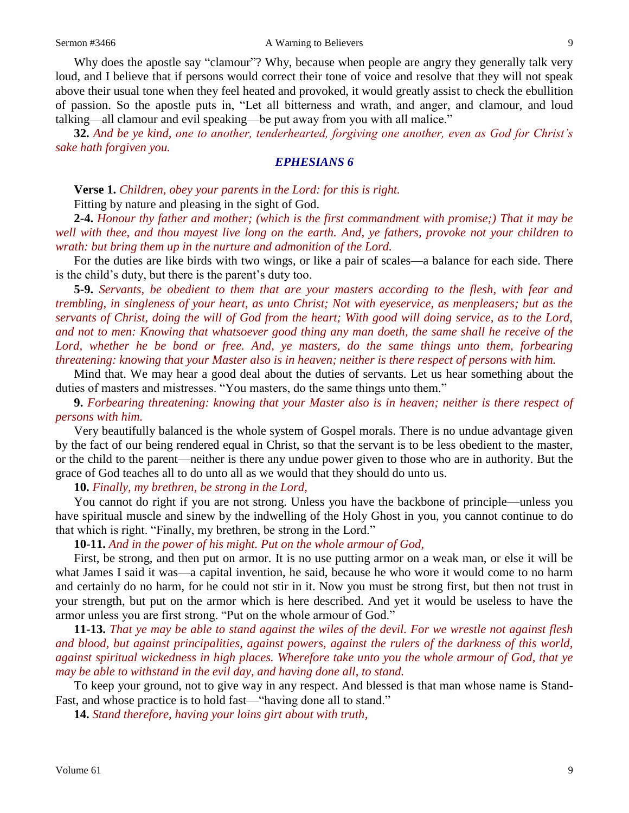Why does the apostle say "clamour"? Why, because when people are angry they generally talk very loud, and I believe that if persons would correct their tone of voice and resolve that they will not speak above their usual tone when they feel heated and provoked, it would greatly assist to check the ebullition of passion. So the apostle puts in, "Let all bitterness and wrath, and anger, and clamour, and loud talking—all clamour and evil speaking—be put away from you with all malice."

**32.** *And be ye kind, one to another, tenderhearted, forgiving one another, even as God for Christ's sake hath forgiven you.* 

#### *EPHESIANS 6*

**Verse 1.** *Children, obey your parents in the Lord: for this is right.* 

Fitting by nature and pleasing in the sight of God.

**2-4.** *Honour thy father and mother; (which is the first commandment with promise;) That it may be well with thee, and thou mayest live long on the earth. And, ye fathers, provoke not your children to wrath: but bring them up in the nurture and admonition of the Lord.*

For the duties are like birds with two wings, or like a pair of scales—a balance for each side. There is the child's duty, but there is the parent's duty too.

**5-9.** *Servants, be obedient to them that are your masters according to the flesh, with fear and trembling, in singleness of your heart, as unto Christ; Not with eyeservice, as menpleasers; but as the servants of Christ, doing the will of God from the heart; With good will doing service, as to the Lord, and not to men: Knowing that whatsoever good thing any man doeth, the same shall he receive of the*  Lord, whether he be bond or free. And, ye masters, do the same things unto them, forbearing *threatening: knowing that your Master also is in heaven; neither is there respect of persons with him.*

Mind that. We may hear a good deal about the duties of servants. Let us hear something about the duties of masters and mistresses. "You masters, do the same things unto them."

**9.** *Forbearing threatening: knowing that your Master also is in heaven; neither is there respect of persons with him.* 

Very beautifully balanced is the whole system of Gospel morals. There is no undue advantage given by the fact of our being rendered equal in Christ, so that the servant is to be less obedient to the master, or the child to the parent—neither is there any undue power given to those who are in authority. But the grace of God teaches all to do unto all as we would that they should do unto us.

**10.** *Finally, my brethren, be strong in the Lord,*

You cannot do right if you are not strong. Unless you have the backbone of principle—unless you have spiritual muscle and sinew by the indwelling of the Holy Ghost in you, you cannot continue to do that which is right. "Finally, my brethren, be strong in the Lord."

**10-11.** *And in the power of his might. Put on the whole armour of God,*

First, be strong, and then put on armor. It is no use putting armor on a weak man, or else it will be what James I said it was—a capital invention, he said, because he who wore it would come to no harm and certainly do no harm, for he could not stir in it. Now you must be strong first, but then not trust in your strength, but put on the armor which is here described. And yet it would be useless to have the armor unless you are first strong. "Put on the whole armour of God."

**11-13.** *That ye may be able to stand against the wiles of the devil. For we wrestle not against flesh and blood, but against principalities, against powers, against the rulers of the darkness of this world, against spiritual wickedness in high places. Wherefore take unto you the whole armour of God, that ye may be able to withstand in the evil day, and having done all, to stand.*

To keep your ground, not to give way in any respect. And blessed is that man whose name is Stand-Fast, and whose practice is to hold fast—"having done all to stand."

**14.** *Stand therefore, having your loins girt about with truth,*